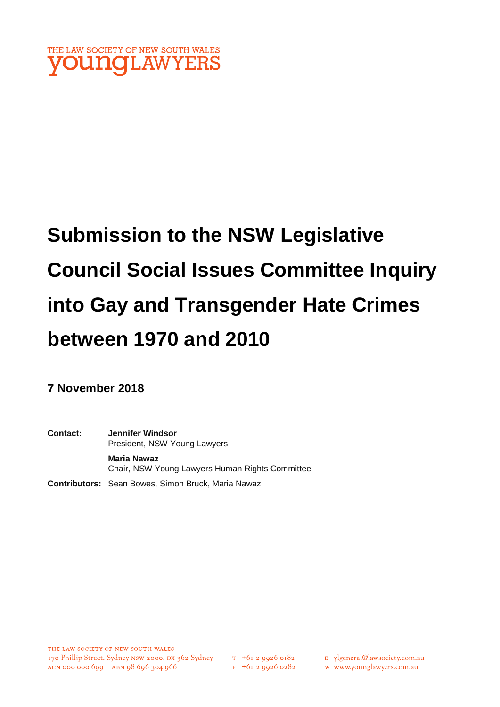

# **Submission to the NSW Legislative Council Social Issues Committee Inquiry into Gay and Transgender Hate Crimes between 1970 and 2010**

**7 November 2018**

**Contact: Jennifer Windsor** President, NSW Young Lawyers **Maria Nawaz** Chair, NSW Young Lawyers Human Rights Committee **Contributors:** Sean Bowes, Simon Bruck, Maria Nawaz

 $T_{+61}$  2 9926 0182  $F$  +61 2 9926 0282 E ylgeneral@lawsociety.com.au

w www.younglawyers.com.au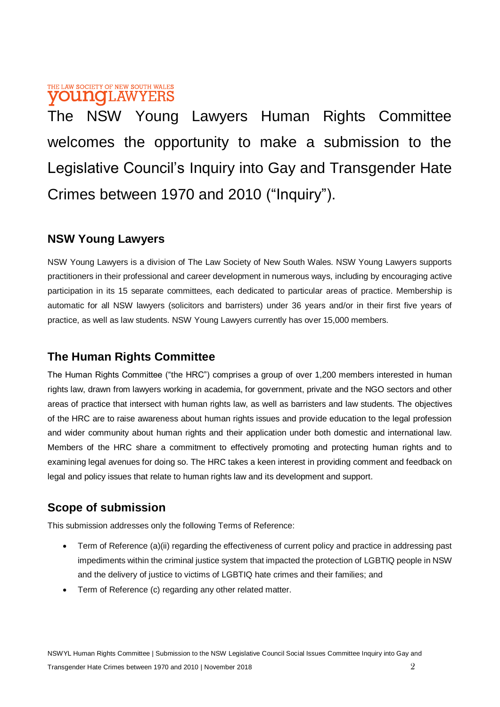#### THE LAW SOCIETY OF NEW SOUTH WALES **VOUNCLAW** YERS

The NSW Young Lawyers Human Rights Committee welcomes the opportunity to make a submission to the Legislative Council's Inquiry into Gay and Transgender Hate Crimes between 1970 and 2010 ("Inquiry").

### **NSW Young Lawyers**

NSW Young Lawyers is a division of The Law Society of New South Wales. NSW Young Lawyers supports practitioners in their professional and career development in numerous ways, including by encouraging active participation in its 15 separate committees, each dedicated to particular areas of practice. Membership is automatic for all NSW lawyers (solicitors and barristers) under 36 years and/or in their first five years of practice, as well as law students. NSW Young Lawyers currently has over 15,000 members.

### **The Human Rights Committee**

The Human Rights Committee ("the HRC") comprises a group of over 1,200 members interested in human rights law, drawn from lawyers working in academia, for government, private and the NGO sectors and other areas of practice that intersect with human rights law, as well as barristers and law students. The objectives of the HRC are to raise awareness about human rights issues and provide education to the legal profession and wider community about human rights and their application under both domestic and international law. Members of the HRC share a commitment to effectively promoting and protecting human rights and to examining legal avenues for doing so. The HRC takes a keen interest in providing comment and feedback on legal and policy issues that relate to human rights law and its development and support.

### **Scope of submission**

This submission addresses only the following Terms of Reference:

- Term of Reference (a)(ii) regarding the effectiveness of current policy and practice in addressing past impediments within the criminal justice system that impacted the protection of LGBTIQ people in NSW and the delivery of justice to victims of LGBTIQ hate crimes and their families; and
- Term of Reference (c) regarding any other related matter.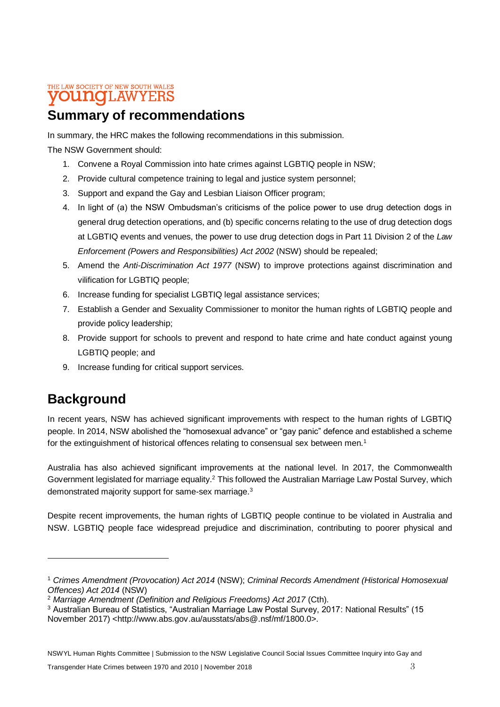#### THE LAW SOCIETY OF NEW SOUTH WALES **OUNCLAWYERS**

# **Summary of recommendations**

In summary, the HRC makes the following recommendations in this submission.

The NSW Government should:

- 1. Convene a Royal Commission into hate crimes against LGBTIQ people in NSW;
- 2. Provide cultural competence training to legal and justice system personnel;
- 3. Support and expand the Gay and Lesbian Liaison Officer program;
- 4. In light of (a) the NSW Ombudsman's criticisms of the police power to use drug detection dogs in general drug detection operations, and (b) specific concerns relating to the use of drug detection dogs at LGBTIQ events and venues, the power to use drug detection dogs in Part 11 Division 2 of the *Law Enforcement (Powers and Responsibilities) Act 2002* (NSW) should be repealed;
- 5. Amend the *Anti-Discrimination Act 1977* (NSW) to improve protections against discrimination and vilification for LGBTIQ people;
- 6. Increase funding for specialist LGBTIQ legal assistance services;
- 7. Establish a Gender and Sexuality Commissioner to monitor the human rights of LGBTIQ people and provide policy leadership;
- 8. Provide support for schools to prevent and respond to hate crime and hate conduct against young LGBTIQ people; and
- 9. Increase funding for critical support services.

# **Background**

In recent years, NSW has achieved significant improvements with respect to the human rights of LGBTIQ people. In 2014, NSW abolished the "homosexual advance" or "gay panic" defence and established a scheme for the extinguishment of historical offences relating to consensual sex between men.<sup>1</sup>

Australia has also achieved significant improvements at the national level. In 2017, the Commonwealth Government legislated for marriage equality.<sup>2</sup> This followed the Australian Marriage Law Postal Survey, which demonstrated majority support for same-sex marriage.<sup>3</sup>

Despite recent improvements, the human rights of LGBTIQ people continue to be violated in Australia and NSW. LGBTIQ people face widespread prejudice and discrimination, contributing to poorer physical and

<sup>1</sup> *Crimes Amendment (Provocation) Act 2014* (NSW); *Criminal Records Amendment (Historical Homosexual Offences) Act 2014* (NSW)

<sup>2</sup> *Marriage Amendment (Definition and Religious Freedoms) Act 2017* (Cth).

<sup>3</sup> Australian Bureau of Statistics, "Australian Marriage Law Postal Survey, 2017: National Results" (15 November 2017) <http://www.abs.gov.au/ausstats/abs@.nsf/mf/1800.0>.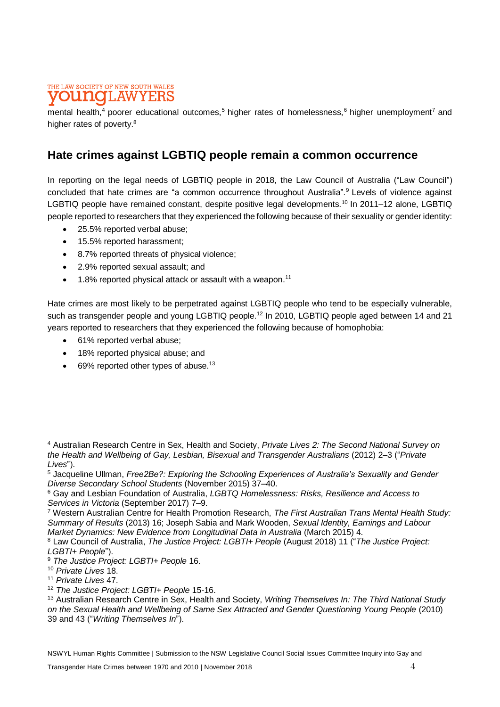#### THE LAW SOCIETY OF NEW SOUTH WALES **LAWYERS** ITING

mental health,<sup>4</sup> poorer educational outcomes,<sup>5</sup> higher rates of homelessness,<sup>6</sup> higher unemployment<sup>7</sup> and higher rates of poverty.<sup>8</sup>

#### **Hate crimes against LGBTIQ people remain a common occurrence**

In reporting on the legal needs of LGBTIQ people in 2018, the Law Council of Australia ("Law Council") concluded that hate crimes are "a common occurrence throughout Australia".<sup>9</sup> Levels of violence against LGBTIQ people have remained constant, despite positive legal developments.<sup>10</sup> In 2011–12 alone, LGBTIQ people reported to researchers that they experienced the following because of their sexuality or gender identity:

- 25.5% reported verbal abuse;
- 15.5% reported harassment;
- 8.7% reported threats of physical violence;
- 2.9% reported sexual assault; and
- 1.8% reported physical attack or assault with a weapon.<sup>11</sup>

Hate crimes are most likely to be perpetrated against LGBTIQ people who tend to be especially vulnerable, such as transgender people and young LGBTIQ people.<sup>12</sup> In 2010, LGBTIQ people aged between 14 and 21 years reported to researchers that they experienced the following because of homophobia:

- 61% reported verbal abuse;
- 18% reported physical abuse; and
- 69% reported other types of abuse.<sup>13</sup>

<sup>4</sup> Australian Research Centre in Sex, Health and Society, *Private Lives 2: The Second National Survey on the Health and Wellbeing of Gay, Lesbian, Bisexual and Transgender Australians* (2012) 2–3 ("*Private Lives*").

<sup>5</sup> Jacqueline Ullman, *Free2Be?: Exploring the Schooling Experiences of Australia's Sexuality and Gender Diverse Secondary School Students* (November 2015) 37–40.

<sup>6</sup> Gay and Lesbian Foundation of Australia, *LGBTQ Homelessness: Risks, Resilience and Access to Services in Victoria* (September 2017) 7–9.

<sup>7</sup> Western Australian Centre for Health Promotion Research, *The First Australian Trans Mental Health Study: Summary of Results* (2013) 16; Joseph Sabia and Mark Wooden, *Sexual Identity, Earnings and Labour Market Dynamics: New Evidence from Longitudinal Data in Australia (March 2015) 4.* 

<sup>8</sup> Law Council of Australia, *The Justice Project: LGBTI+ People* (August 2018) 11 ("*The Justice Project: LGBTI+ People*").

<sup>9</sup> *The Justice Project: LGBTI+ People* 16.

<sup>10</sup> *Private Lives* 18.

<sup>11</sup> *Private Lives* 47.

<sup>12</sup> *The Justice Project: LGBTI+ People* 15-16.

<sup>13</sup> Australian Research Centre in Sex, Health and Society, *Writing Themselves In: The Third National Study on the Sexual Health and Wellbeing of Same Sex Attracted and Gender Questioning Young People* (2010) 39 and 43 ("*Writing Themselves In*").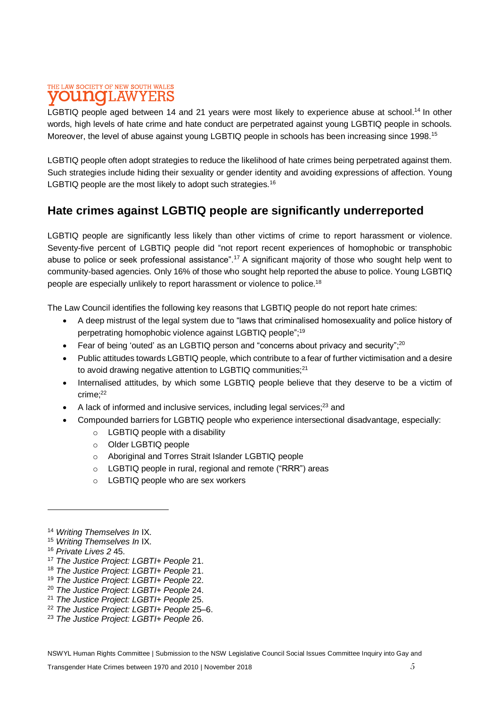#### THE LAW SOCIETY OF NEW SOUTH WALES **DUMOT.AWYERS**

LGBTIQ people aged between 14 and 21 years were most likely to experience abuse at school.<sup>14</sup> In other words, high levels of hate crime and hate conduct are perpetrated against young LGBTIQ people in schools. Moreover, the level of abuse against young LGBTIQ people in schools has been increasing since 1998.<sup>15</sup>

LGBTIQ people often adopt strategies to reduce the likelihood of hate crimes being perpetrated against them. Such strategies include hiding their sexuality or gender identity and avoiding expressions of affection. Young LGBTIQ people are the most likely to adopt such strategies.<sup>16</sup>

### **Hate crimes against LGBTIQ people are significantly underreported**

LGBTIQ people are significantly less likely than other victims of crime to report harassment or violence. Seventy-five percent of LGBTIQ people did "not report recent experiences of homophobic or transphobic abuse to police or seek professional assistance".<sup>17</sup> A significant majority of those who sought help went to community-based agencies. Only 16% of those who sought help reported the abuse to police. Young LGBTIQ people are especially unlikely to report harassment or violence to police.<sup>18</sup>

The Law Council identifies the following key reasons that LGBTIQ people do not report hate crimes:

- A deep mistrust of the legal system due to "laws that criminalised homosexuality and police history of perpetrating homophobic violence against LGBTIQ people"; 19
- Fear of being 'outed' as an LGBTIQ person and "concerns about privacy and security";<sup>20</sup>
- Public attitudes towards LGBTIQ people, which contribute to a fear of further victimisation and a desire to avoid drawing negative attention to LGBTIQ communities; $^{21}$
- Internalised attitudes, by which some LGBTIQ people believe that they deserve to be a victim of crime; 22
- $\bullet$  A lack of informed and inclusive services, including legal services;<sup>23</sup> and
- Compounded barriers for LGBTIQ people who experience intersectional disadvantage, especially:
	- o LGBTIQ people with a disability
	- o Older LGBTIQ people
	- o Aboriginal and Torres Strait Islander LGBTIQ people
	- o LGBTIQ people in rural, regional and remote ("RRR") areas
	- o LGBTIQ people who are sex workers

- <sup>15</sup> *Writing Themselves In* IX.
- <sup>16</sup> *Private Lives 2* 45.

- <sup>17</sup> *The Justice Project: LGBTI+ People* 21.
- <sup>18</sup> *The Justice Project: LGBTI+ People* 21.
- <sup>19</sup> *The Justice Project: LGBTI+ People* 22.
- <sup>20</sup> *The Justice Project: LGBTI+ People* 24.
- <sup>21</sup> *The Justice Project: LGBTI+ People* 25.
- <sup>22</sup> *The Justice Project: LGBTI+ People* 25–6.
- <sup>23</sup> *The Justice Project: LGBTI+ People* 26.

<sup>14</sup> *Writing Themselves In* IX.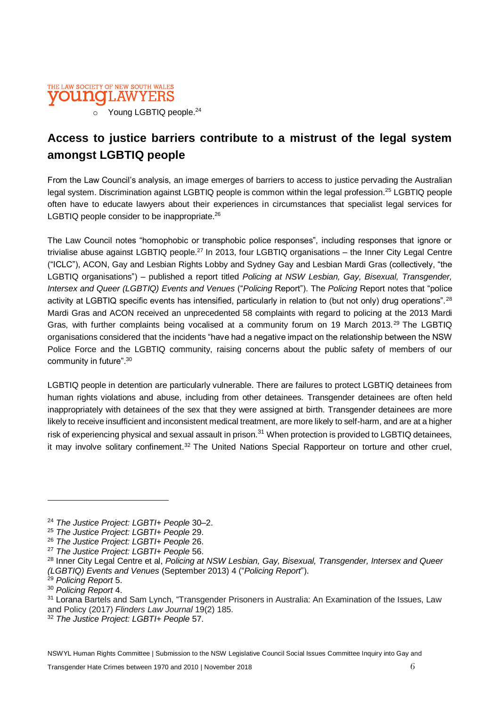

### **Access to justice barriers contribute to a mistrust of the legal system amongst LGBTIQ people**

From the Law Council's analysis, an image emerges of barriers to access to justice pervading the Australian legal system. Discrimination against LGBTIQ people is common within the legal profession.<sup>25</sup> LGBTIQ people often have to educate lawyers about their experiences in circumstances that specialist legal services for LGBTIQ people consider to be inappropriate.<sup>26</sup>

The Law Council notes "homophobic or transphobic police responses", including responses that ignore or trivialise abuse against LGBTIQ people.<sup>27</sup> In 2013, four LGBTIQ organisations – the Inner City Legal Centre ("ICLC"), ACON, Gay and Lesbian Rights Lobby and Sydney Gay and Lesbian Mardi Gras (collectively, "the LGBTIQ organisations") – published a report titled *Policing at NSW Lesbian, Gay, Bisexual, Transgender, Intersex and Queer (LGBTIQ) Events and Venues* ("*Policing* Report"). The *Policing* Report notes that "police activity at LGBTIQ specific events has intensified, particularly in relation to (but not only) drug operations".<sup>28</sup> Mardi Gras and ACON received an unprecedented 58 complaints with regard to policing at the 2013 Mardi Gras, with further complaints being vocalised at a community forum on 19 March 2013.<sup>29</sup> The LGBTIQ organisations considered that the incidents "have had a negative impact on the relationship between the NSW Police Force and the LGBTIQ community, raising concerns about the public safety of members of our community in future".<sup>30</sup>

LGBTIQ people in detention are particularly vulnerable. There are failures to protect LGBTIQ detainees from human rights violations and abuse, including from other detainees. Transgender detainees are often held inappropriately with detainees of the sex that they were assigned at birth. Transgender detainees are more likely to receive insufficient and inconsistent medical treatment, are more likely to self-harm, and are at a higher risk of experiencing physical and sexual assault in prison.<sup>31</sup> When protection is provided to LGBTIQ detainees, it may involve solitary confinement.<sup>32</sup> The United Nations Special Rapporteur on torture and other cruel,

<sup>24</sup> *The Justice Project: LGBTI+ People* 30–2.

<sup>25</sup> *The Justice Project: LGBTI+ People* 29.

<sup>26</sup> *The Justice Project: LGBTI+ People* 26.

<sup>27</sup> *The Justice Project: LGBTI+ People* 56.

<sup>28</sup> Inner City Legal Centre et al, *Policing at NSW Lesbian, Gay, Bisexual, Transgender, Intersex and Queer (LGBTIQ) Events and Venues* (September 2013) 4 ("*Policing Report*").

<sup>29</sup> *Policing Report* 5.

<sup>30</sup> *Policing Report* 4.

<sup>31</sup> Lorana Bartels and Sam Lynch, "Transgender Prisoners in Australia: An Examination of the Issues, Law and Policy (2017) *Flinders Law Journal* 19(2) 185.

<sup>32</sup> *The Justice Project: LGBTI+ People* 57.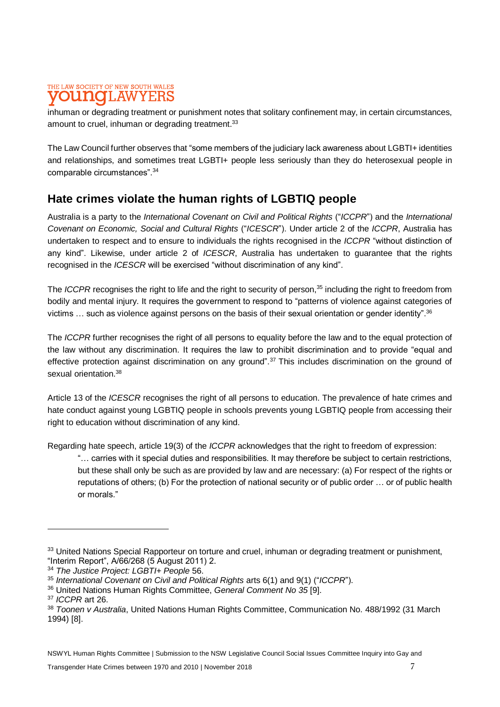#### THE LAW SOCIETY OF NEW SOUTH WALES T.AW

inhuman or degrading treatment or punishment notes that solitary confinement may, in certain circumstances, amount to cruel, inhuman or degrading treatment.<sup>33</sup>

The Law Council further observes that "some members of the judiciary lack awareness about LGBTI+ identities and relationships, and sometimes treat LGBTI+ people less seriously than they do heterosexual people in comparable circumstances".<sup>34</sup>

### **Hate crimes violate the human rights of LGBTIQ people**

Australia is a party to the *International Covenant on Civil and Political Rights* ("*ICCPR*") and the *International Covenant on Economic, Social and Cultural Rights* ("*ICESCR*"). Under article 2 of the *ICCPR*, Australia has undertaken to respect and to ensure to individuals the rights recognised in the *ICCPR* "without distinction of any kind". Likewise, under article 2 of *ICESCR*, Australia has undertaken to guarantee that the rights recognised in the *ICESCR* will be exercised "without discrimination of any kind".

The *ICCPR* recognises the right to life and the right to security of person, <sup>35</sup> including the right to freedom from bodily and mental injury. It requires the government to respond to "patterns of violence against categories of victims … such as violence against persons on the basis of their sexual orientation or gender identity".<sup>36</sup>

The *ICCPR* further recognises the right of all persons to equality before the law and to the equal protection of the law without any discrimination. It requires the law to prohibit discrimination and to provide "equal and effective protection against discrimination on any ground".<sup>37</sup> This includes discrimination on the ground of sexual orientation.<sup>38</sup>

Article 13 of the *ICESCR* recognises the right of all persons to education. The prevalence of hate crimes and hate conduct against young LGBTIQ people in schools prevents young LGBTIQ people from accessing their right to education without discrimination of any kind.

Regarding hate speech, article 19(3) of the *ICCPR* acknowledges that the right to freedom of expression:

"… carries with it special duties and responsibilities. It may therefore be subject to certain restrictions, but these shall only be such as are provided by law and are necessary: (a) For respect of the rights or reputations of others; (b) For the protection of national security or of public order … or of public health or morals."

<sup>33</sup> United Nations Special Rapporteur on torture and cruel, inhuman or degrading treatment or punishment, "Interim Report", A/66/268 (5 August 2011) 2.

<sup>34</sup> *The Justice Project: LGBTI+ People* 56.

<sup>35</sup> *International Covenant on Civil and Political Rights* arts 6(1) and 9(1) ("*ICCPR*").

<sup>36</sup> United Nations Human Rights Committee, *General Comment No 35* [9].

<sup>37</sup> *ICCPR* art 26.

<sup>38</sup> *Toonen v Australia*, United Nations Human Rights Committee, Communication No. 488/1992 (31 March 1994) [8].

NSWYL Human Rights Committee | Submission to the NSW Legislative Council Social Issues Committee Inquiry into Gay and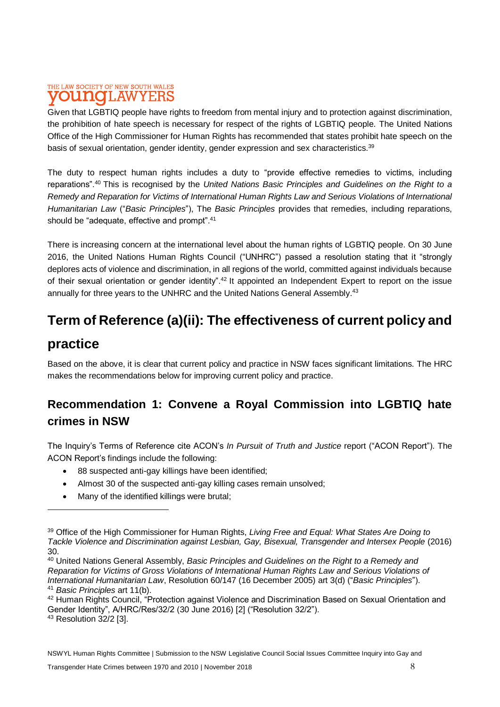#### THE LAW SOCIETY OF NEW SOUTH WALES **DUNGLAW** Y F.F

Given that LGBTIQ people have rights to freedom from mental injury and to protection against discrimination, the prohibition of hate speech is necessary for respect of the rights of LGBTIQ people. The United Nations Office of the High Commissioner for Human Rights has recommended that states prohibit hate speech on the basis of sexual orientation, gender identity, gender expression and sex characteristics.<sup>39</sup>

The duty to respect human rights includes a duty to "provide effective remedies to victims, including reparations".<sup>40</sup> This is recognised by the *United Nations Basic Principles and Guidelines on the Right to a Remedy and Reparation for Victims of International Human Rights Law and Serious Violations of International Humanitarian Law* ("*Basic Principles*"), The *Basic Principles* provides that remedies, including reparations, should be "adequate, effective and prompt".<sup>41</sup>

There is increasing concern at the international level about the human rights of LGBTIQ people. On 30 June 2016, the United Nations Human Rights Council ("UNHRC") passed a resolution stating that it "strongly deplores acts of violence and discrimination, in all regions of the world, committed against individuals because of their sexual orientation or gender identity".<sup>42</sup> It appointed an Independent Expert to report on the issue annually for three years to the UNHRC and the United Nations General Assembly.<sup>43</sup>

# **Term of Reference (a)(ii): The effectiveness of current policy and**

### **practice**

 $\overline{a}$ 

Based on the above, it is clear that current policy and practice in NSW faces significant limitations. The HRC makes the recommendations below for improving current policy and practice.

### **Recommendation 1: Convene a Royal Commission into LGBTIQ hate crimes in NSW**

The Inquiry's Terms of Reference cite ACON's *In Pursuit of Truth and Justice* report ("ACON Report"). The ACON Report's findings include the following:

- 88 suspected anti-gay killings have been identified;
- Almost 30 of the suspected anti-gay killing cases remain unsolved;
- Many of the identified killings were brutal;

<sup>39</sup> Office of the High Commissioner for Human Rights, *Living Free and Equal: What States Are Doing to Tackle Violence and Discrimination against Lesbian, Gay, Bisexual, Transgender and Intersex People* (2016) 30.

<sup>40</sup> United Nations General Assembly, *Basic Principles and Guidelines on the Right to a Remedy and Reparation for Victims of Gross Violations of International Human Rights Law and Serious Violations of International Humanitarian Law*, Resolution 60/147 (16 December 2005) art 3(d) ("*Basic Principles*"). <sup>41</sup> *Basic Principles* art 11(b).

<sup>&</sup>lt;sup>42</sup> Human Rights Council, "Protection against Violence and Discrimination Based on Sexual Orientation and Gender Identity", A/HRC/Res/32/2 (30 June 2016) [2] ("Resolution 32/2").

<sup>43</sup> Resolution 32/2 [3].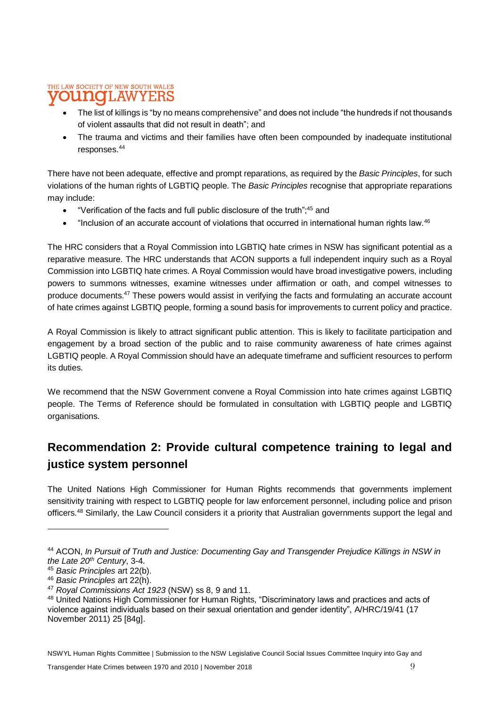#### THE LAW SOCIETY OF NEW SOUTH WALES 'LAW odiato YERS

- The list of killings is "by no means comprehensive" and does not include "the hundreds if not thousands of violent assaults that did not result in death"; and
- The trauma and victims and their families have often been compounded by inadequate institutional responses.<sup>44</sup>

There have not been adequate, effective and prompt reparations, as required by the *Basic Principles*, for such violations of the human rights of LGBTIQ people. The *Basic Principles* recognise that appropriate reparations may include:

- "Verification of the facts and full public disclosure of the truth";<sup>45</sup> and
- "Inclusion of an accurate account of violations that occurred in international human rights law.<sup>46</sup>

The HRC considers that a Royal Commission into LGBTIQ hate crimes in NSW has significant potential as a reparative measure. The HRC understands that ACON supports a full independent inquiry such as a Royal Commission into LGBTIQ hate crimes. A Royal Commission would have broad investigative powers, including powers to summons witnesses, examine witnesses under affirmation or oath, and compel witnesses to produce documents.<sup>47</sup> These powers would assist in verifying the facts and formulating an accurate account of hate crimes against LGBTIQ people, forming a sound basis for improvements to current policy and practice.

A Royal Commission is likely to attract significant public attention. This is likely to facilitate participation and engagement by a broad section of the public and to raise community awareness of hate crimes against LGBTIQ people. A Royal Commission should have an adequate timeframe and sufficient resources to perform its duties.

We recommend that the NSW Government convene a Royal Commission into hate crimes against LGBTIQ people. The Terms of Reference should be formulated in consultation with LGBTIQ people and LGBTIQ organisations.

### **Recommendation 2: Provide cultural competence training to legal and justice system personnel**

The United Nations High Commissioner for Human Rights recommends that governments implement sensitivity training with respect to LGBTIQ people for law enforcement personnel, including police and prison officers.<sup>48</sup> Similarly, the Law Council considers it a priority that Australian governments support the legal and

NSWYL Human Rights Committee | Submission to the NSW Legislative Council Social Issues Committee Inquiry into Gay and

<sup>44</sup> ACON, *In Pursuit of Truth and Justice: Documenting Gay and Transgender Prejudice Killings in NSW in the Late 20th Century*, 3-4.

<sup>45</sup> *Basic Principles* art 22(b).

<sup>46</sup> *Basic Principles* art 22(h).

<sup>47</sup> *Royal Commissions Act 1923* (NSW) ss 8, 9 and 11.

<sup>48</sup> United Nations High Commissioner for Human Rights, "Discriminatory laws and practices and acts of violence against individuals based on their sexual orientation and gender identity", A/HRC/19/41 (17 November 2011) 25 [84g].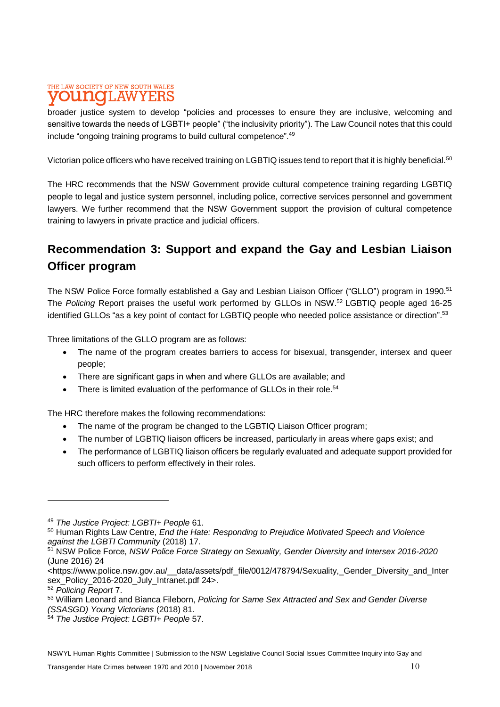#### THE LAW SOCIETY OF NEW SOUTH WALES **DUNOLAWYERS**

broader justice system to develop "policies and processes to ensure they are inclusive, welcoming and sensitive towards the needs of LGBTI+ people" ("the inclusivity priority"). The Law Council notes that this could include "ongoing training programs to build cultural competence".<sup>49</sup>

Victorian police officers who have received training on LGBTIQ issues tend to report that it is highly beneficial.<sup>50</sup>

The HRC recommends that the NSW Government provide cultural competence training regarding LGBTIQ people to legal and justice system personnel, including police, corrective services personnel and government lawyers. We further recommend that the NSW Government support the provision of cultural competence training to lawyers in private practice and judicial officers.

### **Recommendation 3: Support and expand the Gay and Lesbian Liaison Officer program**

The NSW Police Force formally established a Gay and Lesbian Liaison Officer ("GLLO") program in 1990.<sup>51</sup> The *Policing* Report praises the useful work performed by GLLOs in NSW.<sup>52</sup> LGBTIQ people aged 16-25 identified GLLOs "as a key point of contact for LGBTIQ people who needed police assistance or direction".<sup>53</sup>

Three limitations of the GLLO program are as follows:

- The name of the program creates barriers to access for bisexual, transgender, intersex and queer people;
- There are significant gaps in when and where GLLOs are available; and
- There is limited evaluation of the performance of GLLOs in their role.<sup>54</sup>

The HRC therefore makes the following recommendations:

- The name of the program be changed to the LGBTIQ Liaison Officer program;
- The number of LGBTIQ liaison officers be increased, particularly in areas where gaps exist; and
- The performance of LGBTIQ liaison officers be regularly evaluated and adequate support provided for such officers to perform effectively in their roles.

<sup>49</sup> *The Justice Project: LGBTI+ People* 61.

<sup>50</sup> Human Rights Law Centre, *End the Hate: Responding to Prejudice Motivated Speech and Violence against the LGBTI Community* (2018) 17.

<sup>51</sup> NSW Police Force, *NSW Police Force Strategy on Sexuality, Gender Diversity and Intersex 2016-2020*  (June 2016) 24

<sup>&</sup>lt;https://www.police.nsw.gov.au/\_\_data/assets/pdf\_file/0012/478794/Sexuality,\_Gender\_Diversity\_and\_Inter sex\_Policy\_2016-2020\_July\_Intranet.pdf 24>.

<sup>52</sup> *Policing Report* 7.

<sup>53</sup> William Leonard and Bianca Fileborn, *Policing for Same Sex Attracted and Sex and Gender Diverse (SSASGD) Young Victorians* (2018) 81.

<sup>54</sup> *The Justice Project: LGBTI+ People* 57.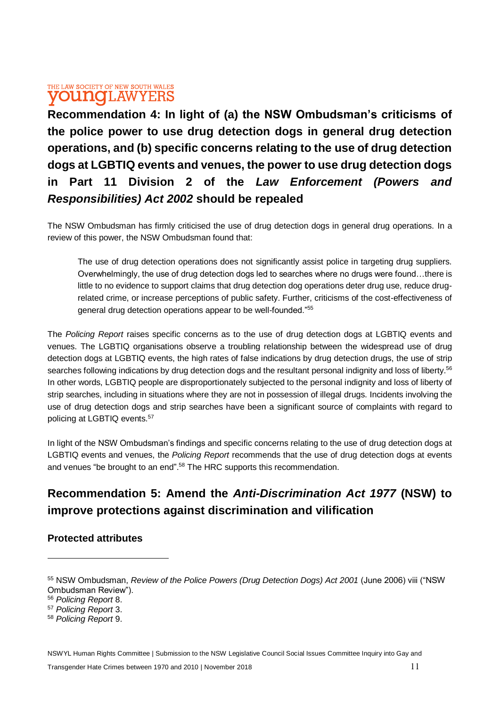#### THE LAW SOCIETY OF NEW SOUTH WALES **OUNOI.AWYERS**

**Recommendation 4: In light of (a) the NSW Ombudsman's criticisms of the police power to use drug detection dogs in general drug detection operations, and (b) specific concerns relating to the use of drug detection dogs at LGBTIQ events and venues, the power to use drug detection dogs in Part 11 Division 2 of the** *Law Enforcement (Powers and Responsibilities) Act 2002* **should be repealed** 

The NSW Ombudsman has firmly criticised the use of drug detection dogs in general drug operations. In a review of this power, the NSW Ombudsman found that:

The use of drug detection operations does not significantly assist police in targeting drug suppliers. Overwhelmingly, the use of drug detection dogs led to searches where no drugs were found…there is little to no evidence to support claims that drug detection dog operations deter drug use, reduce drugrelated crime, or increase perceptions of public safety. Further, criticisms of the cost-effectiveness of general drug detection operations appear to be well-founded."<sup>55</sup>

The *Policing Report* raises specific concerns as to the use of drug detection dogs at LGBTIQ events and venues. The LGBTIQ organisations observe a troubling relationship between the widespread use of drug detection dogs at LGBTIQ events, the high rates of false indications by drug detection drugs, the use of strip searches following indications by drug detection dogs and the resultant personal indignity and loss of liberty.<sup>56</sup> In other words, LGBTIQ people are disproportionately subjected to the personal indignity and loss of liberty of strip searches, including in situations where they are not in possession of illegal drugs. Incidents involving the use of drug detection dogs and strip searches have been a significant source of complaints with regard to policing at LGBTIQ events.<sup>57</sup>

In light of the NSW Ombudsman's findings and specific concerns relating to the use of drug detection dogs at LGBTIQ events and venues, the *Policing Report* recommends that the use of drug detection dogs at events and venues "be brought to an end".<sup>58</sup> The HRC supports this recommendation.

## **Recommendation 5: Amend the** *Anti-Discrimination Act 1977* **(NSW) to improve protections against discrimination and vilification**

#### **Protected attributes**

NSWYL Human Rights Committee | Submission to the NSW Legislative Council Social Issues Committee Inquiry into Gay and

<sup>55</sup> NSW Ombudsman, *Review of the Police Powers (Drug Detection Dogs) Act 2001* (June 2006) viii ("NSW Ombudsman Review").

<sup>56</sup> *Policing Report* 8.

<sup>57</sup> *Policing Report* 3.

<sup>58</sup> *Policing Report* 9.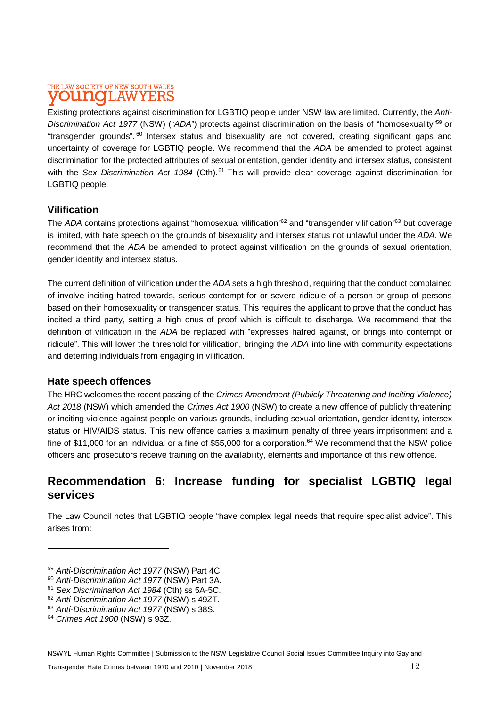#### THE LAW SOCIETY OF NEW SOUTH WALES T.AW DITTIO YERS

Existing protections against discrimination for LGBTIQ people under NSW law are limited. Currently, the *Anti-Discrimination Act 1977* (NSW) ("*ADA*") protects against discrimination on the basis of "homosexuality" <sup>59</sup> or "transgender grounds". <sup>60</sup> Intersex status and bisexuality are not covered, creating significant gaps and uncertainty of coverage for LGBTIQ people. We recommend that the *ADA* be amended to protect against discrimination for the protected attributes of sexual orientation, gender identity and intersex status, consistent with the *Sex Discrimination Act 1984* (Cth).<sup>61</sup> This will provide clear coverage against discrimination for LGBTIQ people.

#### **Vilification**

The *ADA* contains protections against "homosexual vilification"<sup>62</sup> and "transgender vilification"<sup>63</sup> but coverage is limited, with hate speech on the grounds of bisexuality and intersex status not unlawful under the *ADA*. We recommend that the *ADA* be amended to protect against vilification on the grounds of sexual orientation, gender identity and intersex status.

The current definition of vilification under the *ADA* sets a high threshold, requiring that the conduct complained of involve inciting hatred towards, serious contempt for or severe ridicule of a person or group of persons based on their homosexuality or transgender status. This requires the applicant to prove that the conduct has incited a third party, setting a high onus of proof which is difficult to discharge. We recommend that the definition of vilification in the *ADA* be replaced with "expresses hatred against, or brings into contempt or ridicule". This will lower the threshold for vilification, bringing the *ADA* into line with community expectations and deterring individuals from engaging in vilification.

#### **Hate speech offences**

The HRC welcomes the recent passing of the *Crimes Amendment (Publicly Threatening and Inciting Violence) Act 2018* (NSW) which amended the *Crimes Act 1900* (NSW) to create a new offence of publicly threatening or inciting violence against people on various grounds, including sexual orientation, gender identity, intersex status or HIV/AIDS status. This new offence carries a maximum penalty of three years imprisonment and a fine of \$11,000 for an individual or a fine of \$55,000 for a corporation.<sup>64</sup> We recommend that the NSW police officers and prosecutors receive training on the availability, elements and importance of this new offence.

#### **Recommendation 6: Increase funding for specialist LGBTIQ legal services**

The Law Council notes that LGBTIQ people "have complex legal needs that require specialist advice". This arises from:

<sup>59</sup> *Anti-Discrimination Act 1977* (NSW) Part 4C.

<sup>60</sup> *Anti-Discrimination Act 1977* (NSW) Part 3A.

<sup>61</sup> *Sex Discrimination Act 1984* (Cth) ss 5A-5C.

<sup>62</sup> *Anti-Discrimination Act 1977* (NSW) s 49ZT.

<sup>63</sup> *Anti-Discrimination Act 1977* (NSW) s 38S.

<sup>64</sup> *Crimes Act 1900* (NSW) s 93Z.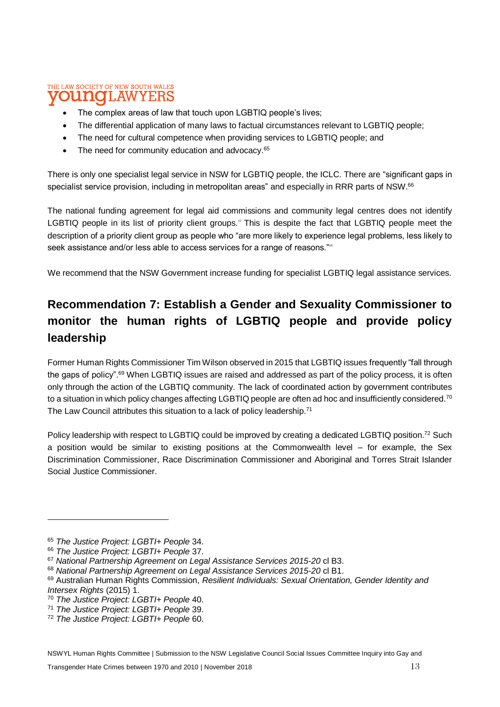#### THE LAW SOCIETY OF NEW SOUTH WALES **LAWYERS** odiato

- The complex areas of law that touch upon LGBTIQ people's lives;
- The differential application of many laws to factual circumstances relevant to LGBTIQ people;
- The need for cultural competence when providing services to LGBTIQ people; and
- The need for community education and advocacy.<sup>65</sup>

There is only one specialist legal service in NSW for LGBTIQ people, the ICLC. There are "significant gaps in specialist service provision, including in metropolitan areas" and especially in RRR parts of NSW.<sup>66</sup>

The national funding agreement for legal aid commissions and community legal centres does not identify LGBTIQ people in its list of priority client groups.<sup>®</sup> This is despite the fact that LGBTIQ people meet the description of a priority client group as people who "are more likely to experience legal problems, less likely to seek assistance and/or less able to access services for a range of reasons."<sup>88</sup>

We recommend that the NSW Government increase funding for specialist LGBTIQ legal assistance services.

## **Recommendation 7: Establish a Gender and Sexuality Commissioner to monitor the human rights of LGBTIQ people and provide policy leadership**

Former Human Rights Commissioner Tim Wilson observed in 2015 that LGBTIQ issues frequently "fall through the gaps of policy".<sup>69</sup> When LGBTIQ issues are raised and addressed as part of the policy process, it is often only through the action of the LGBTIQ community. The lack of coordinated action by government contributes to a situation in which policy changes affecting LGBTIQ people are often ad hoc and insufficiently considered.<sup>70</sup> The Law Council attributes this situation to a lack of policy leadership.<sup>71</sup>

Policy leadership with respect to LGBTIQ could be improved by creating a dedicated LGBTIQ position.<sup>72</sup> Such a position would be similar to existing positions at the Commonwealth level – for example, the Sex Discrimination Commissioner, Race Discrimination Commissioner and Aboriginal and Torres Strait Islander Social Justice Commissioner.

NSWYL Human Rights Committee | Submission to the NSW Legislative Council Social Issues Committee Inquiry into Gay and

<sup>65</sup> *The Justice Project: LGBTI+ People* 34.

<sup>66</sup> *The Justice Project: LGBTI+ People* 37.

<sup>67</sup> *National Partnership Agreement on Legal Assistance Services 2015-20* cl B3.

<sup>68</sup> *National Partnership Agreement on Legal Assistance Services 2015-20* cl B1.

<sup>69</sup> Australian Human Rights Commission, *Resilient Individuals: Sexual Orientation, Gender Identity and Intersex Rights* (2015) 1.

<sup>70</sup> *The Justice Project: LGBTI+ People* 40.

<sup>71</sup> *The Justice Project: LGBTI+ People* 39.

<sup>72</sup> *The Justice Project: LGBTI+ People* 60.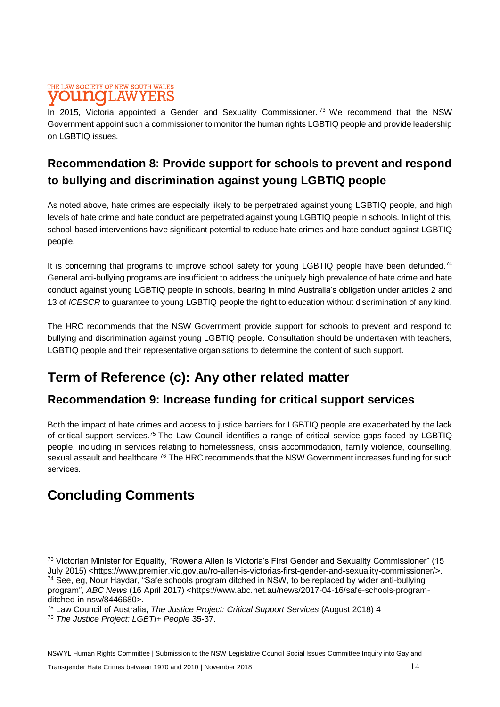#### THE LAW SOCIETY OF NEW SOUTH WALES **DUNCLAW**

In 2015, Victoria appointed a Gender and Sexuality Commissioner.<sup>73</sup> We recommend that the NSW Government appoint such a commissioner to monitor the human rights LGBTIQ people and provide leadership on LGBTIQ issues.

### **Recommendation 8: Provide support for schools to prevent and respond to bullying and discrimination against young LGBTIQ people**

As noted above, hate crimes are especially likely to be perpetrated against young LGBTIQ people, and high levels of hate crime and hate conduct are perpetrated against young LGBTIQ people in schools. In light of this, school-based interventions have significant potential to reduce hate crimes and hate conduct against LGBTIQ people.

It is concerning that programs to improve school safety for young LGBTIQ people have been defunded.<sup>74</sup> General anti-bullying programs are insufficient to address the uniquely high prevalence of hate crime and hate conduct against young LGBTIQ people in schools, bearing in mind Australia's obligation under articles 2 and 13 of *ICESCR* to guarantee to young LGBTIQ people the right to education without discrimination of any kind.

The HRC recommends that the NSW Government provide support for schools to prevent and respond to bullying and discrimination against young LGBTIQ people. Consultation should be undertaken with teachers, LGBTIQ people and their representative organisations to determine the content of such support.

# **Term of Reference (c): Any other related matter**

### **Recommendation 9: Increase funding for critical support services**

Both the impact of hate crimes and access to justice barriers for LGBTIQ people are exacerbated by the lack of critical support services.<sup>75</sup> The Law Council identifies a range of critical service gaps faced by LGBTIQ people, including in services relating to homelessness, crisis accommodation, family violence, counselling, sexual assault and healthcare.<sup>76</sup> The HRC recommends that the NSW Government increases funding for such services.

# **Concluding Comments**

<sup>73</sup> Victorian Minister for Equality, "Rowena Allen Is Victoria's First Gender and Sexuality Commissioner" (15 July 2015) <https://www.premier.vic.gov.au/ro-allen-is-victorias-first-gender-and-sexuality-commissioner/>. <sup>74</sup> See, eg, Nour Haydar, "Safe schools program ditched in NSW, to be replaced by wider anti-bullying program", *ABC News* (16 April 2017) <https://www.abc.net.au/news/2017-04-16/safe-schools-programditched-in-nsw/8446680>.

<sup>75</sup> Law Council of Australia, *The Justice Project: Critical Support Services* (August 2018) 4

<sup>76</sup> *The Justice Project: LGBTI+ People* 35-37.